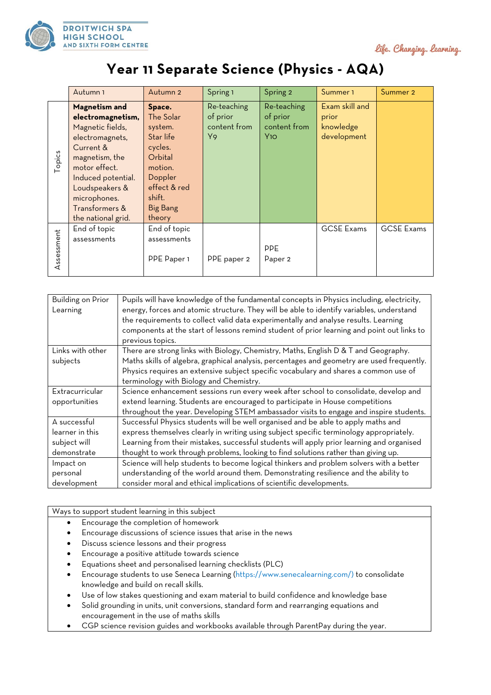

life. Changing. learning.

## **Year 11 Separate Science (Physics - AQA)**

|            | Autumn <sub>1</sub>                                                                                                                                                                                                       | Autumn <sub>2</sub>                                                                                                                            | Spring 1                                      | Spring 2                                       | Summer 1                                            | Summer 2          |
|------------|---------------------------------------------------------------------------------------------------------------------------------------------------------------------------------------------------------------------------|------------------------------------------------------------------------------------------------------------------------------------------------|-----------------------------------------------|------------------------------------------------|-----------------------------------------------------|-------------------|
| Topics     | Magnetism and<br>electromagnetism,<br>Magnetic fields,<br>electromagnets,<br>Current &<br>magnetism, the<br>motor effect.<br>Induced potential.<br>Loudspeakers &<br>microphones.<br>Transformers &<br>the national grid. | Space.<br>The Solar<br>system.<br>Star life<br>cycles.<br>Orbital<br>motion.<br>Doppler<br>effect & red<br>shift.<br><b>Big Bang</b><br>theory | Re-teaching<br>of prior<br>content from<br>Y9 | Re-teaching<br>of prior<br>content from<br>Y10 | Exam skill and<br>prior<br>knowledge<br>development |                   |
| Assessment | End of topic<br>assessments                                                                                                                                                                                               | End of topic<br>assessments<br>PPE Paper 1                                                                                                     | PPE paper 2                                   | <b>PPE</b><br>Paper <sub>2</sub>               | <b>GCSE Exams</b>                                   | <b>GCSE Exams</b> |

| Building on Prior | Pupils will have knowledge of the fundamental concepts in Physics including, electricity,  |
|-------------------|--------------------------------------------------------------------------------------------|
| Learning          | energy, forces and atomic structure. They will be able to identify variables, understand   |
|                   | the requirements to collect valid data experimentally and analyse results. Learning        |
|                   | components at the start of lessons remind student of prior learning and point out links to |
|                   | previous topics.                                                                           |
| Links with other  | There are strong links with Biology, Chemistry, Maths, English D & T and Geography.        |
| subjects          | Maths skills of algebra, graphical analysis, percentages and geometry are used frequently. |
|                   | Physics requires an extensive subject specific vocabulary and shares a common use of       |
|                   | terminology with Biology and Chemistry.                                                    |
| Extracurricular   | Science enhancement sessions run every week after school to consolidate, develop and       |
| opportunities     | extend learning. Students are encouraged to participate in House competitions              |
|                   | throughout the year. Developing STEM ambassador visits to engage and inspire students.     |
| A successful      | Successful Physics students will be well organised and be able to apply maths and          |
| learner in this   | express themselves clearly in writing using subject specific terminology appropriately.    |
| subject will      | Learning from their mistakes, successful students will apply prior learning and organised  |
| demonstrate       | thought to work through problems, looking to find solutions rather than giving up.         |
| Impact on         | Science will help students to become logical thinkers and problem solvers with a better    |
| personal          | understanding of the world around them. Demonstrating resilience and the ability to        |
| development       | consider moral and ethical implications of scientific developments.                        |

Ways to support student learning in this subject

- Encourage the completion of homework
- Encourage discussions of science issues that arise in the news
- Discuss science lessons and their progress
- Encourage a positive attitude towards science
- Equations sheet and personalised learning checklists (PLC)
- Encourage students to use Seneca Learning (https://www.senecalearning.com/) to consolidate knowledge and build on recall skills.
- Use of low stakes questioning and exam material to build confidence and knowledge base
- Solid grounding in units, unit conversions, standard form and rearranging equations and encouragement in the use of maths skills
- CGP science revision guides and workbooks available through ParentPay during the year.